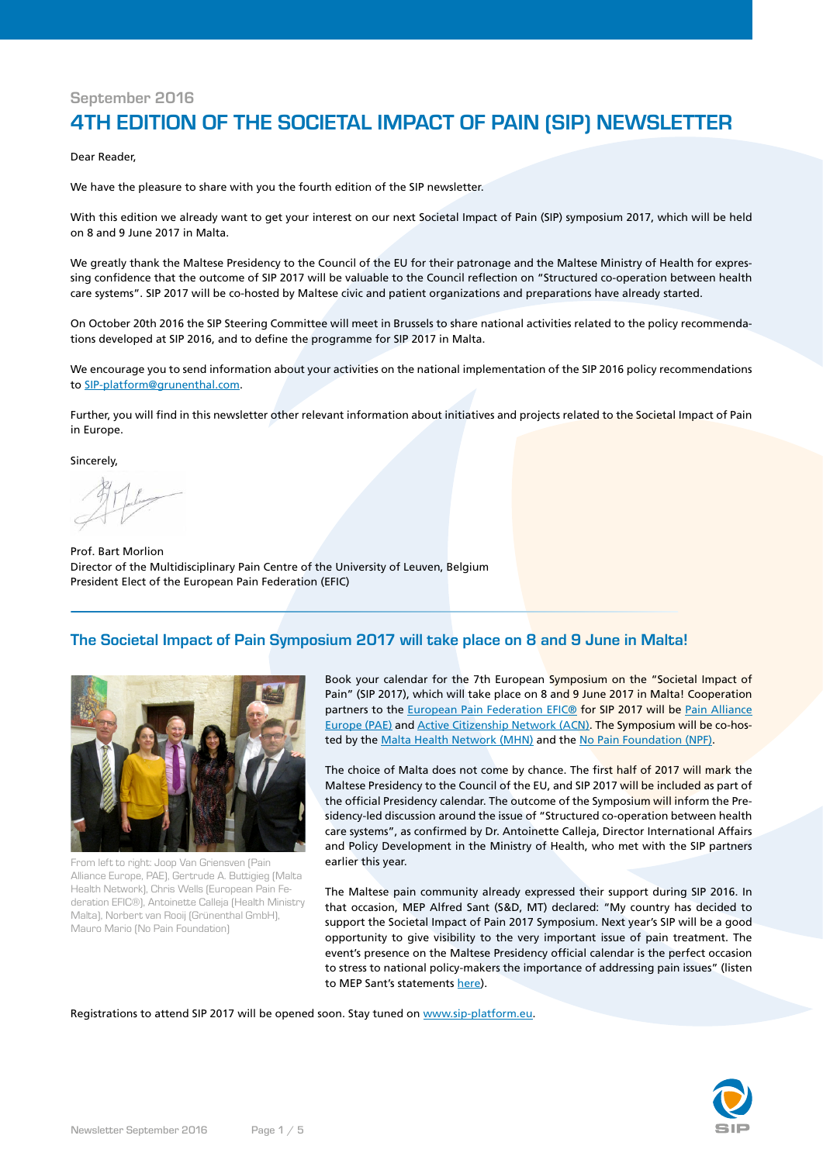# **September 2016**

# **4TH EDITION OF THE SOCIETAL IMPACT OF PAIN (SIP) NEWSLETTER**

Dear Reader,

We have the pleasure to share with you the fourth edition of the SIP newsletter.

With this edition we already want to get your interest on our next Societal Impact of Pain (SIP) symposium 2017, which will be held on 8 and 9 June 2017 in Malta.

We greatly thank the Maltese Presidency to the Council of the EU for their patronage and the Maltese Ministry of Health for expressing confidence that the outcome of SIP 2017 will be valuable to the Council reflection on "Structured co-operation between health care systems". SIP 2017 will be co-hosted by Maltese civic and patient organizations and preparations have already started.

On October 20th 2016 the SIP Steering Committee will meet in Brussels to share national activities related to the policy recommendations developed at SIP 2016, and to define the programme for SIP 2017 in Malta.

We encourage you to send information about your activities on the national implementation of the SIP 2016 policy recommendations to [SIP-platform@grunenthal.com](mailto:sip-platform@grunenthal.com).

Further, you will find in this newsletter other relevant information about initiatives and projects related to the Societal Impact of Pain in Europe.

Sincerely,

Prof. Bart Morlion Director of the Multidisciplinary Pain Centre of the University of Leuven, Belgium President Elect of the European Pain Federation (EFIC)

# **The Societal Impact of Pain Symposium 2017 will take place on 8 and 9 June in Malta!**



From left to right: Joop Van Griensven (Pain Alliance Europe, PAE), Gertrude A. Buttigieg (Malta Health Network), Chris Wells (European Pain Federation EFIC®), Antoinette Calleja (Health Ministry Malta), Norbert van Rooij (Grünenthal GmbH), Mauro Mario (No Pain Foundation)

Book your calendar for the 7th European Symposium on the "Societal Impact of Pain" (SIP 2017), which will take place on 8 and 9 June 2017 in Malta! Cooperation partners to the [European Pain Federation EFIC®](http://www.europeanpainfederation.eu/) for SIP 2017 will be [Pain Alliance](http://www.pae-eu.eu) [Europe \(PAE\)](http://www.pae-eu.eu) and [Active Citizenship Network \(ACN\)](http://www.activecitizenship.net/). The Symposium will be co-hos-ted by the [Malta Health Network \(MHN\)](http://www.maltahealthnetwork.org) and the [No Pain Foundation \(NPF\)](http://www.nopainfoundation.com).

The choice of Malta does not come by chance. The first half of 2017 will mark the Maltese Presidency to the Council of the EU, and SIP 2017 will be included as part of the official Presidency calendar. The outcome of the Symposium will inform the Presidency-led discussion around the issue of "Structured co-operation between health care systems", as confirmed by Dr. Antoinette Calleja, Director International Affairs and Policy Development in the Ministry of Health, who met with the SIP partners earlier this year.

The Maltese pain community already expressed their support during SIP 2016. In that occasion, MEP Alfred Sant (S&D, MT) declared: "My country has decided to support the Societal Impact of Pain 2017 Symposium. Next year's SIP will be a good opportunity to give visibility to the very important issue of pain treatment. The event's presence on the Maltese Presidency official calendar is the perfect occasion to stress to national policy-makers the importance of addressing pain issues" (listen to MEP Sant's statements [here\)](https://www.sip-platform.eu/events/sip-2016/program/plenary-24-may.html).

Registrations to attend SIP 2017 will be opened soon. Stay tuned on [www.sip-platform.eu](http://www.sip-platform.eu).

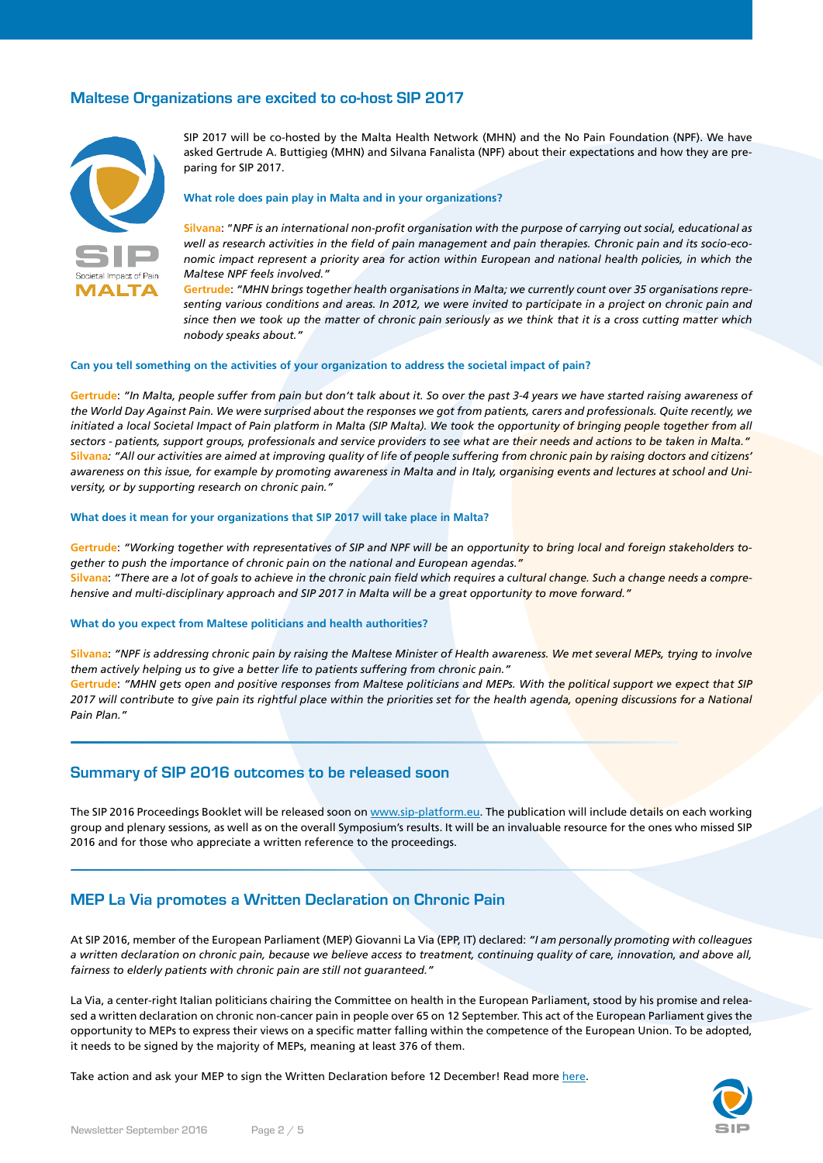### **Maltese Organizations are excited to co-host SIP 2017**



SIP 2017 will be co-hosted by the Malta Health Network (MHN) and the No Pain Foundation (NPF). We have asked Gertrude A. Buttigieg (MHN) and Silvana Fanalista (NPF) about their expectations and how they are preparing for SIP 2017.

#### **What role does pain play in Malta and in your organizations?**

**Silvana**: "*NPF is an international non-profit organisation with the purpose of carrying out social, educational as well as research activities in the field of pain management and pain therapies. Chronic pain and its socio-economic impact represent a priority area for action within European and national health policies, in which the Maltese NPF feels involved."*

**Gertrude**: *"MHN brings together health organisations in Malta; we currently count over 35 organisations representing various conditions and areas. In 2012, we were invited to participate in a project on chronic pain and since then we took up the matter of chronic pain seriously as we think that it is a cross cutting matter which nobody speaks about."*

#### **Can you tell something on the activities of your organization to address the societal impact of pain?**

**Gertrude**: *"In Malta, people suffer from pain but don't talk about it. So over the past 3-4 years we have started raising awareness of the World Day Against Pain. We were surprised about the responses we got from patients, carers and professionals. Quite recently, we*  initiated a local Societal Impact of Pain platform in Malta (SIP Malta). We took the opportunity of bringing people together from all *sectors - patients, support groups, professionals and service providers to see what are their needs and actions to be taken in Malta."* **Silvana***: "All our activities are aimed at improving quality of life of people suffering from chronic pain by raising doctors and citizens' awareness on this issue, for example by promoting awareness in Malta and in Italy, organising events and lectures at school and University, or by supporting research on chronic pain."*

#### **What does it mean for your organizations that SIP 2017 will take place in Malta?**

**Gertrude**: *"Working together with representatives of SIP and NPF will be an opportunity to bring local and foreign stakeholders together to push the importance of chronic pain on the national and European agendas."* **Silvana**: *"There are a lot of goals to achieve in the chronic pain field which requires a cultural change. Such a change needs a comprehensive and multi-disciplinary approach and SIP 2017 in Malta will be a great opportunity to move forward."*

#### **What do you expect from Maltese politicians and health authorities?**

**Silvana**: *"NPF is addressing chronic pain by raising the Maltese Minister of Health awareness. We met several MEPs, trying to involve them actively helping us to give a better life to patients suffering from chronic pain."*  **Gertrude**: *"MHN gets open and positive responses from Maltese politicians and MEPs. With the political support we expect that SIP 2017 will contribute to give pain its rightful place within the priorities set for the health agenda, opening discussions for a National Pain Plan."*

#### **Summary of SIP 2016 outcomes to be released soon**

The SIP 2016 Proceedings Booklet will be released soon on [www.sip-platform.eu](http://www.sip-platform.eu). The publication will include details on each working group and plenary sessions, as well as on the overall Symposium's results. It will be an invaluable resource for the ones who missed SIP 2016 and for those who appreciate a written reference to the proceedings.

#### **MEP La Via promotes a Written Declaration on Chronic Pain**

At SIP 2016, member of the European Parliament (MEP) Giovanni La Via (EPP, IT) declared: *"I am personally promoting with colleagues a written declaration on chronic pain, because we believe access to treatment, continuing quality of care, innovation, and above all, fairness to elderly patients with chronic pain are still not guaranteed."*

La Via, a center-right Italian politicians chairing the Committee on health in the European Parliament, stood by his promise and released a written declaration on chronic non-cancer pain in people over 65 on 12 September. This act of the European Parliament gives the opportunity to MEPs to express their views on a specific matter falling within the competence of the European Union. To be adopted, it needs to be signed by the majority of MEPs, meaning at least 376 of them.

Take action and ask your MEP to sign the Written Declaration before 12 December! Read more [here.](https://www.sip-platform.eu/initiatives/europe.html)

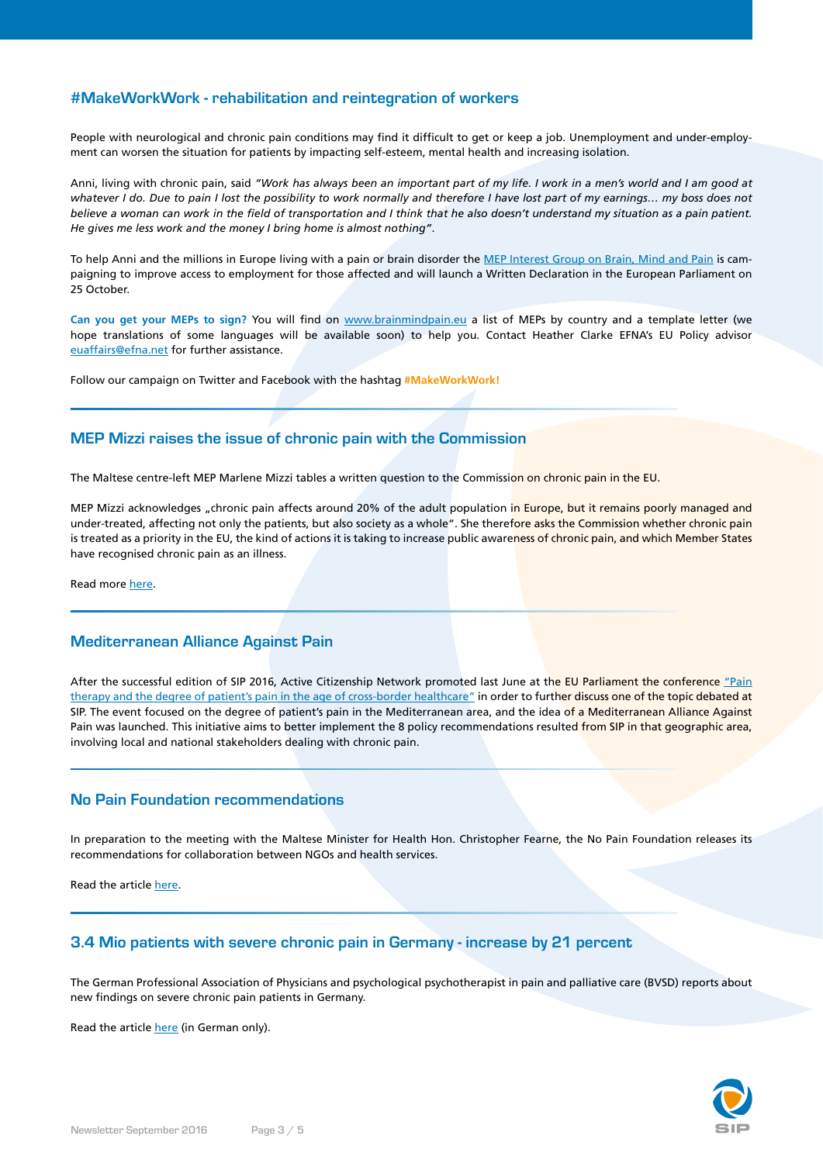### **#MakeWorkWork - rehabilitation and reintegration of workers**

People with neurological and chronic pain conditions may find it difficult to get or keep a job. Unemployment and under-employment can worsen the situation for patients by impacting self-esteem, mental health and increasing isolation.

Anni, living with chronic pain, said *"Work has always been an important part of my life. I work in a men's world and I am good at whatever I do. Due to pain I lost the possibility to work normally and therefore I have lost part of my earnings… my boss does not believe a woman can work in the field of transportation and I think that he also doesn't understand my situation as a pain patient. He gives me less work and the money I bring home is almost nothing"*.

To help Anni and the millions in Europe living with a pain or brain disorder the [MEP Interest Group on Brain, Mind and Pain](http://www.brainmindpain.eu/) is campaigning to improve access to employment for those affected and will launch a Written Declaration in the European Parliament on 25 October.

**Can you get your MEPs to sign?** You will find on [www.brainmindpain.eu](http://www.brainmindpain.eu) a list of MEPs by country and a template letter (we hope translations of some languages will be available soon) to help you. Contact Heather Clarke EFNA's EU Policy advisor [euaffairs@efna.net](mailto:euaffairs@efna.net) for further assistance.

Follow our campaign on Twitter and Facebook with the hashtag **#MakeWorkWork!**

# **MEP Mizzi raises the issue of chronic pain with the Commission**

The Maltese centre-left MEP Marlene Mizzi tables a written question to the Commission on chronic pain in the EU.

MEP Mizzi acknowledges "chronic pain affects around 20% of the adult population in Europe, but it remains poorly managed and under-treated, affecting not only the patients, but also society as a whole". She therefore asks the Commission whether chronic pain is treated as a priority in the EU, the kind of actions it is taking to increase public awareness of chronic pain, and which Member States have recognised chronic pain as an illness.

Read more [here.](https://www.sip-platform.eu/news/details/mep-mizzi-asks-the-commission-on-chronic-pain-in-the-eu.html)

### **Mediterranean Alliance Against Pain**

After the successful edition of SIP 2016, Active Citizenship Network promoted last June at the EU Parliament the conference ["Pain](http://www.interestgroup.activecitizenship.net/115-june-21st2016-pain-therapy-and-the-degree-of-patient-s-pain-in-the-age-of-cross-border-healthcare.html) [therapy and the degree of patient's pain in the age of cross-border healthcare"](http://www.interestgroup.activecitizenship.net/115-june-21st2016-pain-therapy-and-the-degree-of-patient-s-pain-in-the-age-of-cross-border-healthcare.html) in order to further discuss one of the topic debated at SIP. The event focused on the degree of patient's pain in the Mediterranean area, and the idea of a Mediterranean Alliance Against Pain was launched. This initiative aims to better implement the 8 policy recommendations resulted from SIP in that geographic area, involving local and national stakeholders dealing with chronic pain.

### **No Pain Foundation recommendations**

In preparation to the meeting with the Maltese Minister for Health Hon. Christopher Fearne, the No Pain Foundation releases its recommendations for collaboration between NGOs and health services.

Read the article [here.](https://www.sip-platform.eu/news/details/no-pain-foundation-recommendations.html)

### **3.4 Mio patients with severe chronic pain in Germany - increase by 21 percent**

The German Professional Association of Physicians and psychological psychotherapist in pain and palliative care (BVSD) reports about new findings on severe chronic pain patients in Germany.

Read the article [here](https://www.sip-platform.eu/news/details/id-34-mio-patients-with-severe-chronic-pain-in-germany-increase-by-21-percent.html) (in German only).

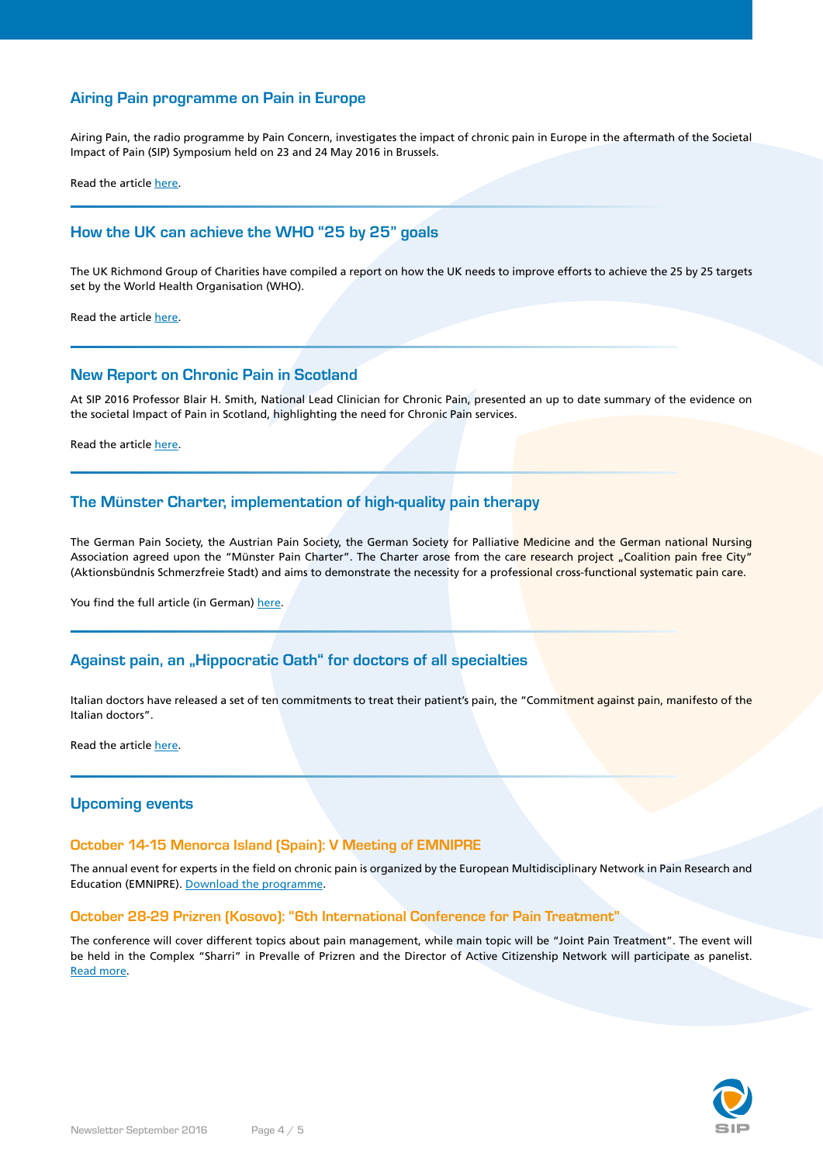# **Airing Pain programme on Pain in Europe**

Airing Pain, the radio programme by Pain Concern, investigates the impact of chronic pain in Europe in the aftermath of the Societal Impact of Pain (SIP) Symposium held on 23 and 24 May 2016 in Brussels.

Read the article [here.](https://www.sip-platform.eu/news/details/listen-to-airing-pain-programme-on-pain-in-europe.html)

# **How the UK can achieve the WHO "25 by 25" goals**

The UK Richmond Group of Charities have compiled a report on how the UK needs to improve efforts to achieve the 25 by 25 targets set by the World Health Organisation (WHO).

Read the article [here.](https://www.sip-platform.eu/news/details/living-longer-living-well-how-we-can-achieve-the-world-health-organisations-25-by-25-goals-in-the-uk.html)

#### **New Report on Chronic Pain in Scotland**

At SIP 2016 Professor Blair H. Smith, National Lead Clinician for Chronic Pain, presented an up to date summary of the evidence on the societal Impact of Pain in Scotland, highlighting the need for Chronic Pain services.

Read the article [here.](https://www.sip-platform.eu/news/details/new-report-on-chronic-pain-in-scotland.html)

### **The Münster Charter, implementation of high-quality pain therapy**

The German Pain Society, the Austrian Pain Society, the German Society for Palliative Medicine and the German national Nursing Association agreed upon the "Münster Pain Charter". The Charter arose from the care research project "Coalition pain free City" (Aktionsbündnis Schmerzfreie Stadt) and aims to demonstrate the necessity for a professional cross-functional systematic pain care.

You find the full article (in German) [here](http://link.springer.com/article/10.1007/s00482-016-0116-7).

# Against pain, an "Hippocratic Oath" for doctors of all specialties

Italian doctors have released a set of ten commitments to treat their patient's pain, the "Commitment against pain, manifesto of the Italian doctors".

Read the article [here.](https://www.sip-platform.eu/news/details/against-pain-an-hippocratic-oath-for-doctors-of-all-specialties.html)

#### **Upcoming events**

#### **October 14-15 Menorca Island (Spain): V Meeting of EMNIPRE**

The annual event for experts in the field on chronic pain is organized by the European Multidisciplinary Network in Pain Research and Education (EMNIPRE). [Download the programme.](http://emnipre.eiu.edu.es/wp-content/uploads/2016/07/Emnipre-110720161.pdf)

#### **October 28-29 Prizren (Kosovo): "6th International Conference for Pain Treatment"**

The conference will cover different topics about pain management, while main topic will be "Joint Pain Treatment". The event will be held in the Complex "Sharri" in Prevalle of Prizren and the Director of Active Citizenship Network will participate as panelist. [Read more](http://www.pha-ks.com/en/).